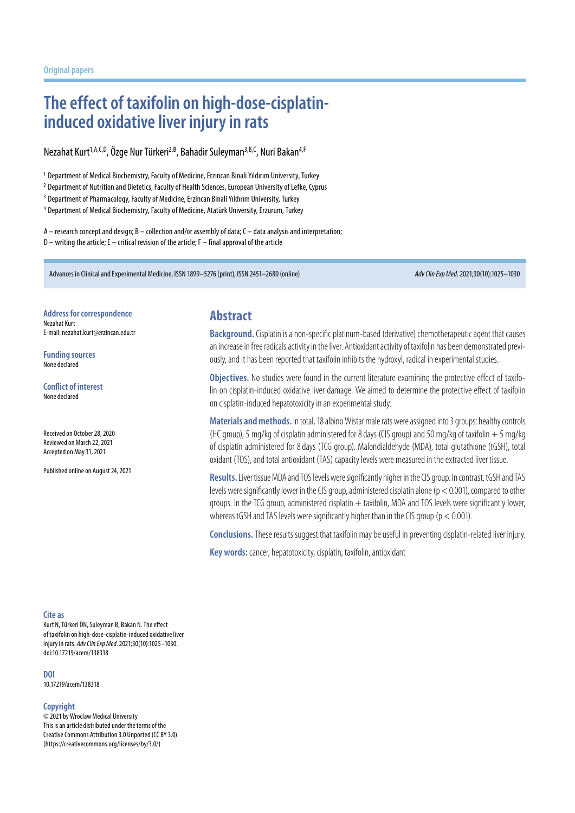# **The effect of taxifolin on high-dose-cisplatininduced oxidative liver injury in rats**

Nezahat Kurt<sup>1,A,C,D</sup>, Özge Nur Türkeri<sup>2,B</sup>, Bahadir Suleyman<sup>3,B,C</sup>, Nuri Bakan<sup>4,F</sup>

<sup>1</sup> Department of Medical Biochemistry, Faculty of Medicine, Erzincan Binali Yıldırım University, Turkey

<sup>2</sup> Department of Nutrition and Dietetics, Faculty of Health Sciences, European University of Lefke, Cyprus

<sup>3</sup> Department of Pharmacology, Faculty of Medicine, Erzincan Binali Yıldırım University, Turkey

<sup>4</sup> Department of Medical Biochemistry, Faculty of Medicine, Atatürk University, Erzurum, Turkey

A – research concept and design; B – collection and/or assembly of data; C – data analysis and interpretation; D – writing the article; E – critical revision of the article; F – final approval of the article

Advances in Clinical and Experimental Medicine, ISSN 1899–5276 (print), ISSN 2451–2680 (online) *Adv Clin Exp Med*. 2021;30(10):1025–1030

**Address for correspondence**

Nezahat Kurt E-mail: nezahat.kurt@erzincan.edu.tr

**Funding sources** None declared

**Conflict of interest** None declared

Received on October 28, 2020 Reviewed on March 22, 2021 Accepted on May 31, 2021

Published online on August 24, 2021

### **Abstract**

**Background.** Cisplatin is a non-specific platinum-based (derivative) chemotherapeutic agent that causes an increase in free radicals activity in the liver. Antioxidant activity of taxifolin has been demonstrated previously, and it has been reported that taxifolin inhibits the hydroxyl, radical in experimental studies.

**Objectives.** No studies were found in the current literature examining the protective effect of taxifolin on cisplatin-induced oxidative liver damage. We aimed to determine the protective effect of taxifolin on cisplatin-induced hepatotoxicity in an experimental study.

**Materials and methods.** Intotal, 18 albino Wistar male rats were assigned into 3 groups: healthy controls (HC group), 5 mg/kg of cisplatin administered for 8 days (CIS group) and 50 mg/kg of taxifolin  $+5$  mg/kg of cisplatin administered for 8days (TCG group). Malondialdehyde (MDA), total glutathione (tGSH), total oxidant (TOS), and total antioxidant (TAS) capacity levels were measured intheextracted liver tissue.

Results. Liver tissue MDA and TOS levels were significantly higher in the CIS group. In contrast, tGSH and TAS levels were significantly lower in the CIS group, administered cisplatin alone ( $p < 0.001$ ), compared to other groups. In the TCG group, administered cisplatin  $+$  taxifolin, MDA and TOS levels were significantly lower, whereas tGSH and TAS levels were significantly higher than in the CIS group ( $p < 0.001$ ).

**Conclusions.** These results suggest that taxifolin may be useful in preventing cisplatin-related liver injury.

**Key words:** cancer, hepatotoxicity, cisplatin, taxifolin, antioxidant

#### **Cite as**

Kurt N, Türkeri ÖN, Suleyman B, Bakan N. The effect of taxifolin on high-dose-cisplatin-induced oxidative liver injury in rats. *Adv Clin Exp Med*. 2021;30(10):1025–1030. doi:10.17219/acem/138318

**DOI**

10.17219/acem/138318

#### **Copyright**

© 2021 by Wroclaw Medical University This is an article distributed under the terms of the Creative Commons Attribution 3.0 Unported (CC BY 3.0) (https://creativecommons.org/licenses/by/3.0/)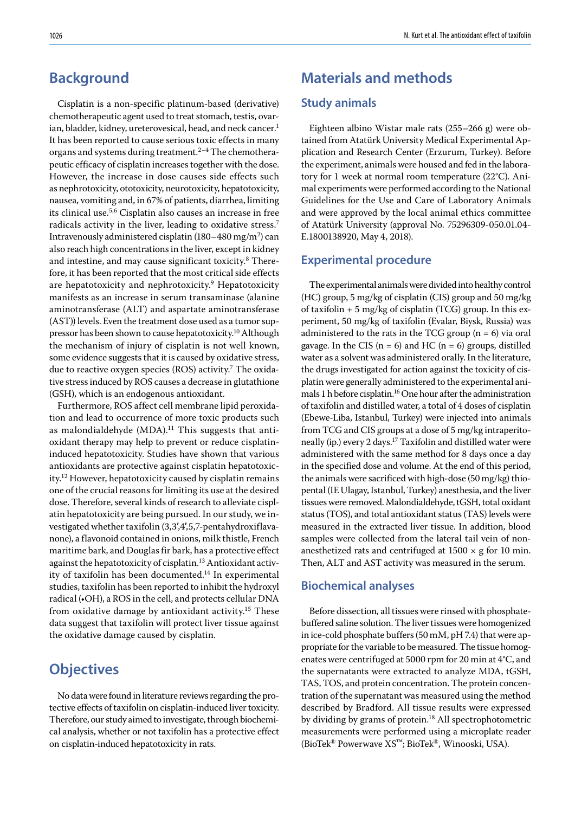## **Background**

Cisplatin is a non-specific platinum-based (derivative) chemotherapeutic agent used to treat stomach, testis, ovarian, bladder, kidney, ureterovesical, head, and neck cancer.<sup>1</sup> It has been reported to cause serious toxic effects in many organs and systems during treatment.<sup>2-4</sup> The chemotherapeutic efficacy of cisplatin increases together with the dose. However, the increase in dose causes side effects such as nephrotoxicity, ototoxicity, neurotoxicity, hepatotoxicity, nausea, vomiting and, in 67% of patients, diarrhea, limiting its clinical use.5,6 Cisplatin also causes an increase in free radicals activity in the liver, leading to oxidative stress.<sup>7</sup> Intravenously administered cisplatin (180–480 mg/m<sup>2</sup>) can also reach high concentrations in the liver, except in kidney and intestine, and may cause significant toxicity.<sup>8</sup> Therefore, it has been reported that the most critical side effects are hepatotoxicity and nephrotoxicity.<sup>9</sup> Hepatotoxicity manifests as an increase in serum transaminase (alanine aminotransferase (ALT) and aspartate aminotransferase (AST)) levels. Even the treatment dose used as a tumor suppressor has been shown to cause hepatotoxicity.10 Although the mechanism of injury of cisplatin is not well known, some evidence suggests that it is caused by oxidative stress, due to reactive oxygen species (ROS) activity.7 The oxidative stress induced by ROS causes a decrease in glutathione (GSH), which is an endogenous antioxidant.

Furthermore, ROS affect cell membrane lipid peroxidation and lead to occurrence of more toxic products such as malondialdehyde  $(MDA).<sup>11</sup>$  This suggests that antioxidant therapy may help to prevent or reduce cisplatininduced hepatotoxicity. Studies have shown that various antioxidants are protective against cisplatin hepatotoxicity.12 However, hepatotoxicity caused by cisplatin remains one of the crucial reasons for limiting its use at the desired dose. Therefore, several kinds of research to alleviate cisplatin hepatotoxicity are being pursued. In our study, we investigated whether taxifolin (3,3′,4′,5,7-pentahydroxiflavanone), a flavonoid contained in onions, milk thistle, French maritime bark, and Douglas fir bark, has a protective effect against the hepatotoxicity of cisplatin.<sup>13</sup> Antioxidant activity of taxifolin has been documented.<sup>14</sup> In experimental studies, taxifolin has been reported to inhibit the hydroxyl radical (•OH), a ROS in the cell, and protects cellular DNA from oxidative damage by antioxidant activity.<sup>15</sup> These data suggest that taxifolin will protect liver tissue against the oxidative damage caused by cisplatin.

## **Objectives**

No data were found in literature reviews regarding the protective effects of taxifolin on cisplatin-induced liver toxicity. Therefore, our study aimed to investigate, through biochemical analysis, whether or not taxifolin has a protective effect on cisplatin-induced hepatotoxicity in rats.

## **Materials and methods**

### **Study animals**

Eighteen albino Wistar male rats (255–266 g) were obtained from Atatürk University Medical Experimental Application and Research Center (Erzurum, Turkey). Before the experiment, animals were housed and fed in the laboratory for 1 week at normal room temperature (22°C). Animal experiments were performed according to the National Guidelines for the Use and Care of Laboratory Animals and were approved by the local animal ethics committee of Atatürk University (approval No. 75296309-050.01.04- E.1800138920, May 4, 2018).

### **Experimental procedure**

The experimental animals were divided into healthy control (HC) group, 5 mg/kg of cisplatin (CIS) group and 50 mg/kg of taxifolin  $+ 5$  mg/kg of cisplatin (TCG) group. In this experiment, 50 mg/kg of taxifolin (Evalar, Biysk, Russia) was administered to the rats in the TCG group  $(n = 6)$  via oral gavage. In the CIS ( $n = 6$ ) and HC ( $n = 6$ ) groups, distilled water as a solvent was administered orally. In the literature, the drugs investigated for action against the toxicity of cisplatin were generally administered to the experimental animals 1 h before cisplatin.16 One hour after the administration of taxifolin and distilled water, a total of 4 doses of cisplatin (Ebewe-Liba, Istanbul, Turkey) were injected into animals from TCG and CIS groups at a dose of 5 mg/kg intraperitoneally (ip.) every 2 days.17 Taxifolin and distilled water were administered with the same method for 8 days once a day in the specified dose and volume. At the end of this period, the animals were sacrificed with high-dose (50 mg/kg) thiopental (IE Ulagay, Istanbul, Turkey) anesthesia, and the liver tissues were removed. Malondialdehyde, tGSH, total oxidant status (TOS), and total antioxidant status (TAS) levels were measured in the extracted liver tissue. In addition, blood samples were collected from the lateral tail vein of nonanesthetized rats and centrifuged at  $1500 \times g$  for 10 min. Then, ALT and AST activity was measured in the serum.

#### **Biochemical analyses**

Before dissection, all tissues were rinsed with phosphatebuffered saline solution. The liver tissues were homogenized in ice-cold phosphate buffers (50 mM, pH 7.4) that were appropriate for the variable to be measured. The tissue homogenates were centrifuged at 5000 rpm for 20 min at 4°C, and the supernatants were extracted to analyze MDA, tGSH, TAS, TOS, and protein concentration. The protein concentration of the supernatant was measured using the method described by Bradford. All tissue results were expressed by dividing by grams of protein.<sup>18</sup> All spectrophotometric measurements were performed using a microplate reader (BioTek® Powerwave XS™; BioTek®, Winooski, USA).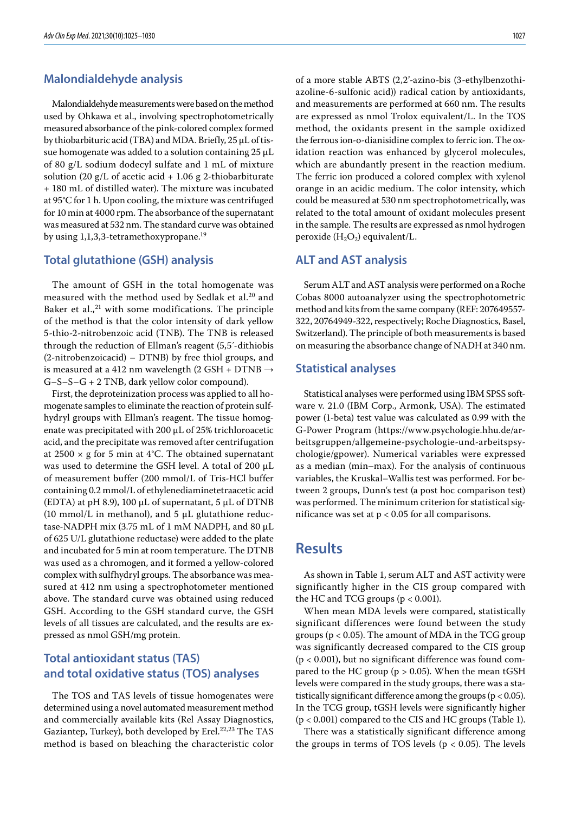### **Malondialdehyde analysis**

Malondialdehyde measurements were based on the method used by Ohkawa et al., involving spectrophotometrically measured absorbance of the pink-colored complex formed by thiobarbituric acid (TBA) and MDA. Briefly, 25 µL of tissue homogenate was added to a solution containing 25 µL of 80 g/L sodium dodecyl sulfate and 1 mL of mixture solution (20 g/L of acetic acid  $+1.06$  g 2-thiobarbiturate + 180 mL of distilled water). The mixture was incubated at 95°C for 1 h. Upon cooling, the mixture was centrifuged for 10 min at 4000 rpm. The absorbance of the supernatant was measured at 532 nm. The standard curve was obtained by using 1,1,3,3-tetramethoxypropane.<sup>19</sup>

#### **Total glutathione (GSH) analysis**

The amount of GSH in the total homogenate was measured with the method used by Sedlak et al.<sup>20</sup> and Baker et al., $21$  with some modifications. The principle of the method is that the color intensity of dark yellow 5-thio-2-nitrobenzoic acid (TNB). The TNB is released through the reduction of Ellman's reagent (5,5´-dithiobis (2-nitrobenzoicacid) – DTNB) by free thiol groups, and is measured at a 412 nm wavelength (2 GSH + DTNB  $\rightarrow$ G–S–S–G + 2 TNB, dark yellow color compound).

First, the deproteinization process was applied to all homogenate samples to eliminate the reaction of protein sulfhydryl groups with Ellman's reagent. The tissue homogenate was precipitated with 200 μL of 25% trichloroacetic acid, and the precipitate was removed after centrifugation at 2500  $\times$  g for 5 min at 4°C. The obtained supernatant was used to determine the GSH level. A total of 200 μL of measurement buffer (200 mmol/L of Tris-HCl buffer containing 0.2 mmol/L of ethylenediaminetetraacetic acid (EDTA) at pH 8.9), 100 μL of supernatant, 5 μL of DTNB (10 mmol/L in methanol), and 5 μL glutathione reductase-NADPH mix (3.75 mL of 1 mM NADPH, and 80 µL of 625 U/L glutathione reductase) were added to the plate and incubated for 5 min at room temperature. The DTNB was used as a chromogen, and it formed a yellow-colored complex with sulfhydryl groups. The absorbance was measured at 412 nm using a spectrophotometer mentioned above. The standard curve was obtained using reduced GSH. According to the GSH standard curve, the GSH levels of all tissues are calculated, and the results are expressed as nmol GSH/mg protein.

### **Total antioxidant status (TAS) and total oxidative status (TOS) analyses**

The TOS and TAS levels of tissue homogenates were determined using a novel automated measurement method and commercially available kits (Rel Assay Diagnostics, Gaziantep, Turkey), both developed by Erel.<sup>22,23</sup> The TAS method is based on bleaching the characteristic color of a more stable ABTS (2,2'-azino-bis (3-ethylbenzothiazoline-6-sulfonic acid)) radical cation by antioxidants, and measurements are performed at 660 nm. The results are expressed as nmol Trolox equivalent/L. In the TOS method, the oxidants present in the sample oxidized the ferrous ion-o-dianisidine complex to ferric ion. The oxidation reaction was enhanced by glycerol molecules, which are abundantly present in the reaction medium. The ferric ion produced a colored complex with xylenol orange in an acidic medium. The color intensity, which could be measured at 530 nm spectrophotometrically, was related to the total amount of oxidant molecules present in the sample. The results are expressed as nmol hydrogen peroxide  $(H_2O_2)$  equivalent/L.

### **ALT and AST analysis**

Serum ALT and AST analysis were performed on a Roche Cobas 8000 autoanalyzer using the spectrophotometric method and kits from the same company (REF: 207649557- 322, 20764949-322, respectively; Roche Diagnostics, Basel, Switzerland). The principle of both measurements is based on measuring the absorbance change of NADH at 340 nm.

#### **Statistical analyses**

Statistical analyses were performed using IBM SPSS software v. 21.0 (IBM Corp., Armonk, USA). The estimated power (1-beta) test value was calculated as 0.99 with the G-Power Program (https://www.psychologie.hhu.de/arbeitsgruppen/allgemeine-psychologie-und-arbeitspsychologie/gpower). Numerical variables were expressed as a median (min–max). For the analysis of continuous variables, the Kruskal–Wallis test was performed. For between 2 groups, Dunn's test (a post hoc comparison test) was performed. The minimum criterion for statistical significance was set at  $p < 0.05$  for all comparisons.

## **Results**

As shown in Table 1, serum ALT and AST activity were significantly higher in the CIS group compared with the HC and TCG groups ( $p < 0.001$ ).

When mean MDA levels were compared, statistically significant differences were found between the study groups ( $p < 0.05$ ). The amount of MDA in the TCG group was significantly decreased compared to the CIS group (p < 0.001), but no significant difference was found compared to the HC group ( $p > 0.05$ ). When the mean tGSH levels were compared in the study groups, there was a statistically significant difference among the groups ( $p < 0.05$ ). In the TCG group, tGSH levels were significantly higher (p < 0.001) compared to the CIS and HC groups (Table 1).

There was a statistically significant difference among the groups in terms of TOS levels ( $p < 0.05$ ). The levels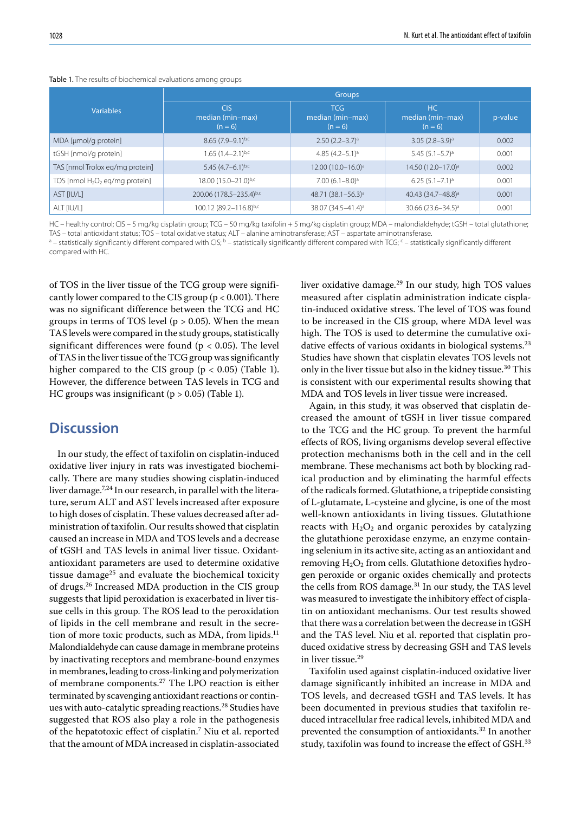|                                   | <b>Groups</b>                               |                                             |                                     |         |
|-----------------------------------|---------------------------------------------|---------------------------------------------|-------------------------------------|---------|
| <b>Variables</b>                  | <b>CIS</b><br>median (min-max)<br>$(n = 6)$ | <b>TCG</b><br>median (min-max)<br>$(n = 6)$ | HC<br>median (min-max)<br>$(n = 6)$ | p-value |
| MDA [µmol/g protein]              | $8.65(7.9-9.1)^{b,c}$                       | $2.50(2.2-3.7)^a$                           | $3.05(2.8-3.9)^a$                   | 0.002   |
| tGSH [nmol/g protein]             | $1.65(1.4-2.1)^{b,c}$                       | 4.85 $(4.2-5.1)$ <sup>a</sup>               | $5.45(5.1-5.7)^a$                   | 0.001   |
| TAS [nmol Trolox eq/mg protein]   | 5.45 $(4.7-6.1)^{b,c}$                      | 12.00 (10.0-16.0) <sup>a</sup>              | 14.50 (12.0-17.0) <sup>a</sup>      | 0.002   |
| TOS [nmol $H_2O_2$ eq/mg protein] | 18.00 (15.0-21.0)b,c                        | $7.00(6.1 - 8.0)^a$                         | $6.25(5.1 - 7.1)^a$                 | 0.001   |
| AST [IU/L]                        | 200.06 (178.5-235.4)b,c                     | 48.71 (38.1-56.3) <sup>a</sup>              | 40.43 (34.7-48.8) <sup>a</sup>      | 0.001   |
| ALT [IU/L]                        | 100.12 (89.2-116.8)b,c                      | 38.07 (34.5-41.4) <sup>a</sup>              | 30.66 $(23.6 - 34.5)^a$             | 0.001   |

#### Table 1. The results of biochemical evaluations among groups

HC – healthy control; CIS – 5 mg/kg cisplatin group; TCG – 50 mg/kg taxifolin + 5 mg/kg cisplatin group; MDA – malondialdehyde; tGSH – total glutathione; TAS – total antioxidant status; TOS – total oxidative status; ALT – alanine aminotransferase; AST – aspartate aminotransferase.

<sup>a</sup> – statistically significantly different compared with CIS; <sup>b</sup> – statistically significantly different compared with TCG; <sup>c</sup> – statistically significantly different compared with HC.

of TOS in the liver tissue of the TCG group were significantly lower compared to the CIS group ( $p < 0.001$ ). There was no significant difference between the TCG and HC groups in terms of TOS level ( $p > 0.05$ ). When the mean TAS levels were compared in the study groups, statistically significant differences were found ( $p < 0.05$ ). The level of TAS in the liver tissue of the TCG group was significantly higher compared to the CIS group ( $p < 0.05$ ) (Table 1). However, the difference between TAS levels in TCG and HC groups was insignificant ( $p > 0.05$ ) (Table 1).

## **Discussion**

In our study, the effect of taxifolin on cisplatin-induced oxidative liver injury in rats was investigated biochemically. There are many studies showing cisplatin-induced liver damage.<sup>7,24</sup> In our research, in parallel with the literature, serum ALT and AST levels increased after exposure to high doses of cisplatin. These values decreased after administration of taxifolin. Our results showed that cisplatin caused an increase in MDA and TOS levels and a decrease of tGSH and TAS levels in animal liver tissue. Oxidantantioxidant parameters are used to determine oxidative tissue damage<sup>25</sup> and evaluate the biochemical toxicity of drugs.26 Increased MDA production in the CIS group suggests that lipid peroxidation is exacerbated in liver tissue cells in this group. The ROS lead to the peroxidation of lipids in the cell membrane and result in the secretion of more toxic products, such as MDA, from lipids.<sup>11</sup> Malondialdehyde can cause damage in membrane proteins by inactivating receptors and membrane-bound enzymes in membranes, leading to cross-linking and polymerization of membrane components.27 The LPO reaction is either terminated by scavenging antioxidant reactions or continues with auto-catalytic spreading reactions.<sup>28</sup> Studies have suggested that ROS also play a role in the pathogenesis of the hepatotoxic effect of cisplatin.7 Niu et al. reported that the amount of MDA increased in cisplatin-associated

liver oxidative damage.29 In our study, high TOS values measured after cisplatin administration indicate cisplatin-induced oxidative stress. The level of TOS was found to be increased in the CIS group, where MDA level was high. The TOS is used to determine the cumulative oxidative effects of various oxidants in biological systems.<sup>23</sup> Studies have shown that cisplatin elevates TOS levels not only in the liver tissue but also in the kidney tissue.<sup>30</sup> This is consistent with our experimental results showing that MDA and TOS levels in liver tissue were increased.

Again, in this study, it was observed that cisplatin decreased the amount of tGSH in liver tissue compared to the TCG and the HC group. To prevent the harmful effects of ROS, living organisms develop several effective protection mechanisms both in the cell and in the cell membrane. These mechanisms act both by blocking radical production and by eliminating the harmful effects of the radicals formed. Glutathione, a tripeptide consisting of L-glutamate, L-cysteine and glycine, is one of the most well-known antioxidants in living tissues. Glutathione reacts with  $H_2O_2$  and organic peroxides by catalyzing the glutathione peroxidase enzyme, an enzyme containing selenium in its active site, acting as an antioxidant and removing H<sub>2</sub>O<sub>2</sub> from cells. Glutathione detoxifies hydrogen peroxide or organic oxides chemically and protects the cells from ROS damage.<sup>31</sup> In our study, the TAS level was measured to investigate the inhibitory effect of cisplatin on antioxidant mechanisms. Our test results showed that there was a correlation between the decrease in tGSH and the TAS level. Niu et al. reported that cisplatin produced oxidative stress by decreasing GSH and TAS levels in liver tissue.<sup>29</sup>

Taxifolin used against cisplatin-induced oxidative liver damage significantly inhibited an increase in MDA and TOS levels, and decreased tGSH and TAS levels. It has been documented in previous studies that taxifolin reduced intracellular free radical levels, inhibited MDA and prevented the consumption of antioxidants.32 In another study, taxifolin was found to increase the effect of GSH.<sup>33</sup>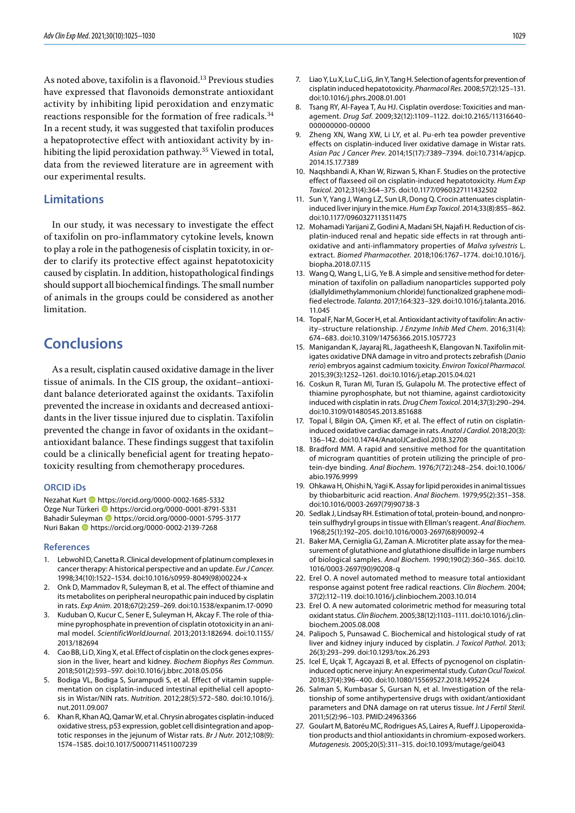As noted above, taxifolin is a flavonoid.13 Previous studies have expressed that flavonoids demonstrate antioxidant activity by inhibiting lipid peroxidation and enzymatic reactions responsible for the formation of free radicals.<sup>34</sup> In a recent study, it was suggested that taxifolin produces a hepatoprotective effect with antioxidant activity by inhibiting the lipid peroxidation pathway.<sup>35</sup> Viewed in total, data from the reviewed literature are in agreement with our experimental results.

#### **Limitations**

In our study, it was necessary to investigate the effect of taxifolin on pro-inflammatory cytokine levels, known to play a role in the pathogenesis of cisplatin toxicity, in order to clarify its protective effect against hepatotoxicity caused by cisplatin. In addition, histopathological findings should support all biochemical findings. The small number of animals in the groups could be considered as another limitation.

## **Conclusions**

As a result, cisplatin caused oxidative damage in the liver tissue of animals. In the CIS group, the oxidant–antioxidant balance deteriorated against the oxidants. Taxifolin prevented the increase in oxidants and decreased antioxidants in the liver tissue injured due to cisplatin. Taxifolin prevented the change in favor of oxidants in the oxidant– antioxidant balance. These findings suggest that taxifolin could be a clinically beneficial agent for treating hepatotoxicity resulting from chemotherapy procedures.

#### **ORCID iDs**

Nezahat Kurt **b** https://orcid.org/0000-0002-1685-5332 Özge Nur Türkeri **b** https://orcid.org/0000-0001-8791-5331 Bahadir Suleyman **b** https://orcid.org/0000-0001-5795-3177 Nuri Bakan **b** https://orcid.org/0000-0002-2139-7268

#### **References**

- 1. Lebwohl D, Canetta R. Clinical development of platinum complexes in cancer therapy: A historical perspective and an update. *Eur J Cancer*. 1998;34(10):1522–1534. doi:10.1016/s0959-8049(98)00224-x
- 2. Onk D, Mammadov R, Suleyman B, et al. The effect of thiamine and its metabolites on peripheral neuropathic pain induced by cisplatin in rats. *Exp Anim*. 2018;67(2):259–269. doi:10.1538/expanim.17-0090
- 3. Kuduban O, Kucur C, Sener E, Suleyman H, Akcay F. The role of thiamine pyrophosphate in prevention of cisplatin ototoxicity in an animal model. *ScientificWorldJournal*. 2013;2013:182694. doi:10.1155/ 2013/182694
- 4. Cao BB, Li D, Xing X, et al. Effect of cisplatin on the clock genes expression in the liver, heart and kidney. *Biochem Biophys Res Commun*. 2018;501(2):593–597. doi:10.1016/j.bbrc.2018.05.056
- 5. Bodiga VL, Bodiga S, Surampudi S, et al. Effect of vitamin supplementation on cisplatin-induced intestinal epithelial cell apoptosis in Wistar/NIN rats. *Nutrition*. 2012;28(5):572–580. doi:10.1016/j. nut.2011.09.007
- 6. Khan R, Khan AQ, Qamar W, et al. Chrysin abrogates cisplatin-induced oxidative stress, p53 expression, goblet cell disintegration and apoptotic responses in the jejunum of Wistar rats. *Br J Nutr*. 2012;108(9): 1574–1585. doi:10.1017/S0007114511007239
- 7. Liao Y, Lu X, Lu C, Li G, Jin Y, Tang H. Selection of agents for prevention of cisplatin induced hepatotoxicity. *Pharmacol Res*. 2008;57(2):125–131. doi:10.1016/j.phrs.2008.01.001
- 8. Tsang RY, Al-Fayea T, Au HJ. Cisplatin overdose: Toxicities and management. *Drug Saf*. 2009;32(12):1109–1122. doi:10.2165/11316640- 000000000-00000
- Zheng XN, Wang XW, Li LY, et al. Pu-erh tea powder preventive effects on cisplatin-induced liver oxidative damage in Wistar rats. *Asian Pac J Cancer Prev*. 2014;15(17):7389–7394. doi:10.7314/apjcp. 2014.15.17.7389
- 10. Naqshbandi A, Khan W, Rizwan S, Khan F. Studies on the protective effect of flaxseed oil on cisplatin-induced hepatotoxicity. *Hum Exp Toxicol*. 2012;31(4):364–375. doi:10.1177/0960327111432502
- 11. Sun Y, Yang J, Wang LZ, Sun LR, Dong Q. Crocin attenuates cisplatininduced liver injury in the mice. *Hum Exp Toxicol*. 2014;33(8):855–862. doi:10.1177/0960327113511475
- 12. Mohamadi Yarijani Z, Godini A, Madani SH, Najafi H. Reduction of cisplatin-induced renal and hepatic side effects in rat through antioxidative and anti-inflammatory properties of *Malva sylvestris* L. extract. *Biomed Pharmacother*. 2018;106:1767–1774. doi:10.1016/j. biopha.2018.07.115
- 13. Wang Q, Wang L, Li G, Ye B. A simple and sensitive method for determination of taxifolin on palladium nanoparticles supported poly (diallyldimethylammonium chloride) functionalized graphene modified electrode. *Talanta*. 2017;164:323–329. doi:10.1016/j.talanta.2016. 11.045
- 14. Topal F, Nar M, Gocer H, et al. Antioxidant activity of taxifolin: An activity–structure relationship. *J Enzyme Inhib Med Chem*. 2016;31(4): 674–683. doi:10.3109/14756366.2015.1057723
- 15. Manigandan K, Jayaraj RL, Jagatheesh K, Elangovan N. Taxifolin mitigates oxidative DNA damage in vitro and protects zebrafish (*Danio rerio*) embryos against cadmium toxicity. *Environ Toxicol Pharmacol*. 2015;39(3):1252–1261. doi:10.1016/j.etap.2015.04.021
- 16. Coskun R, Turan MI, Turan IS, Gulapolu M. The protective effect of thiamine pyrophosphate, but not thiamine, against cardiotoxicity induced with cisplatin in rats. *Drug Chem Toxicol*. 2014;37(3):290–294. doi:10.3109/01480545.2013.851688
- 17. Topal İ, Bilgin OA, Çimen KF, et al. The effect of rutin on cisplatininduced oxidative cardiac damage in rats. *Anatol J Cardiol*. 2018;20(3): 136–142. doi:10.14744/AnatolJCardiol.2018.32708
- 18. Bradford MM. A rapid and sensitive method for the quantitation of microgram quantities of protein utilizing the principle of protein-dye binding. *Anal Biochem*. 1976;7(72):248–254. doi:10.1006/ abio.1976.9999
- 19. Ohkawa H, Ohishi N, Yagi K. Assay for lipid peroxides in animal tissues by thiobarbituric acid reaction. *Anal Biochem*. 1979;95(2):351–358. doi:10.1016/0003-2697(79)90738-3
- 20. Sedlak J, Lindsay RH. Estimation of total, protein-bound, and nonprotein sulfhydryl groups in tissue with Ellman's reagent. *Anal Biochem*. 1968;25(1):192–205. doi:10.1016/0003-2697(68)90092-4
- 21. Baker MA, Cerniglia GJ, Zaman A. Microtiter plate assay for the measurement of glutathione and glutathione disulfide in large numbers of biological samples. *Anal Biochem*. 1990;190(2):360–365. doi:10. 1016/0003-2697(90)90208-q
- 22. Erel O. A novel automated method to measure total antioxidant response against potent free radical reactions. *Clin Biochem*. 2004; 37(2):112–119. doi:10.1016/j.clinbiochem.2003.10.014
- 23. Erel O. A new automated colorimetric method for measuring total oxidant status. *Clin Biochem*. 2005;38(12):1103–1111. doi:10.1016/j.clinbiochem.2005.08.008
- 24. Palipoch S, Punsawad C. Biochemical and histological study of rat liver and kidney injury induced by cisplatin. *J Toxicol Pathol*. 2013; 26(3):293–299. doi:10.1293/tox.26.293
- 25. Icel E, Uçak T, Agcayazi B, et al. Effects of pycnogenol on cisplatininduced optic nerve injury: An experimental study. *Cutan Ocul Toxicol*. 2018;37(4):396–400. doi:10.1080/15569527.2018.1495224
- 26. Salman S, Kumbasar S, Gursan N, et al. Investigation of the relationship of some antihypertensive drugs with oxidant/antioxidant parameters and DNA damage on rat uterus tissue. *Int J Fertil Steril*. 2011;5(2):96–103. PMID:24963366
- 27. Goulart M, Batoréu MC, Rodrigues AS, Laires A, Rueff J. Lipoperoxidation products and thiol antioxidants in chromium-exposed workers. *Mutagenesis*. 2005;20(5):311–315. doi:10.1093/mutage/gei043